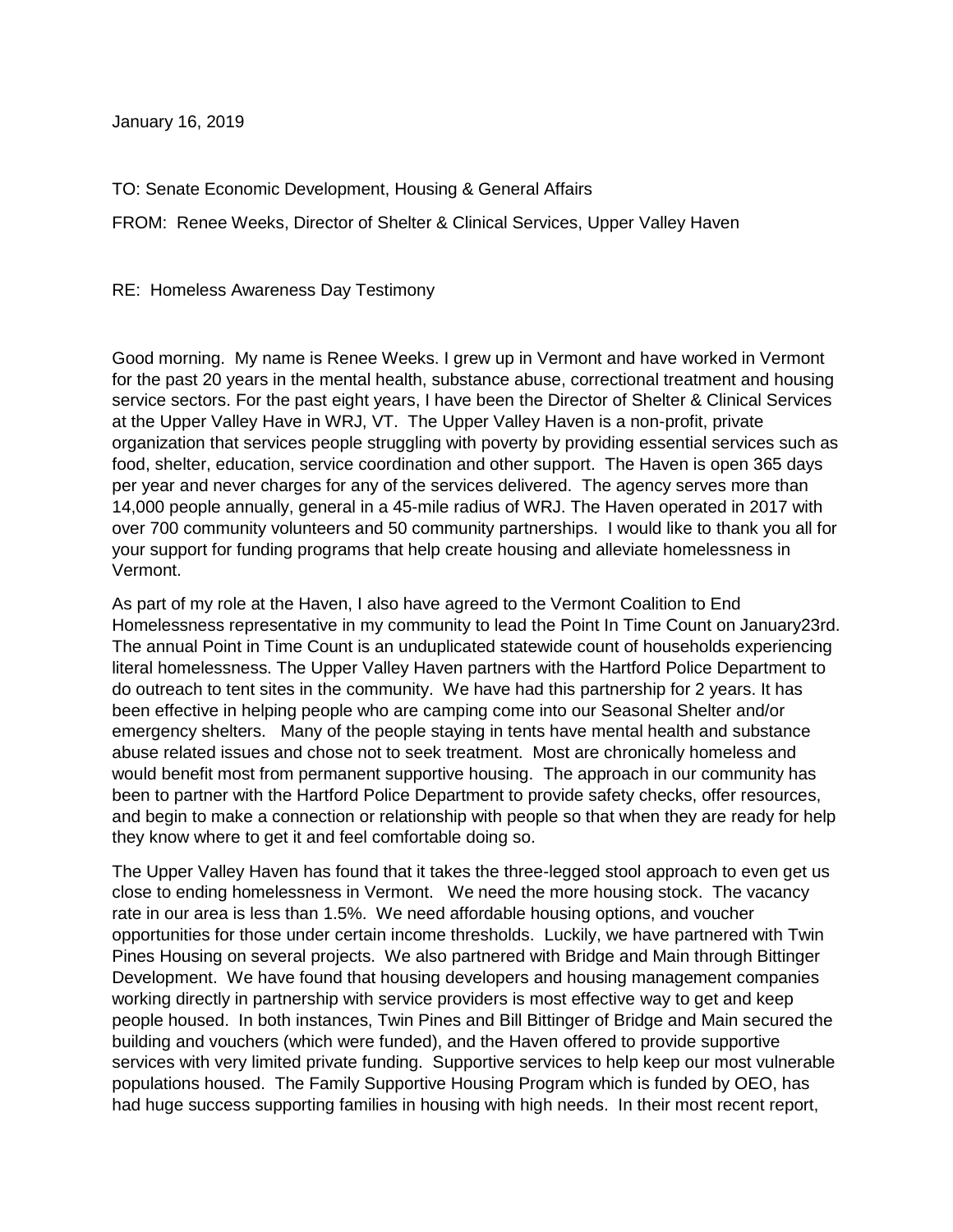January 16, 2019

TO: Senate Economic Development, Housing & General Affairs

FROM: Renee Weeks, Director of Shelter & Clinical Services, Upper Valley Haven

RE: Homeless Awareness Day Testimony

Good morning. My name is Renee Weeks. I grew up in Vermont and have worked in Vermont for the past 20 years in the mental health, substance abuse, correctional treatment and housing service sectors. For the past eight years, I have been the Director of Shelter & Clinical Services at the Upper Valley Have in WRJ, VT. The Upper Valley Haven is a non-profit, private organization that services people struggling with poverty by providing essential services such as food, shelter, education, service coordination and other support. The Haven is open 365 days per year and never charges for any of the services delivered. The agency serves more than 14,000 people annually, general in a 45-mile radius of WRJ. The Haven operated in 2017 with over 700 community volunteers and 50 community partnerships. I would like to thank you all for your support for funding programs that help create housing and alleviate homelessness in Vermont.

As part of my role at the Haven, I also have agreed to the Vermont Coalition to End Homelessness representative in my community to lead the Point In Time Count on January23rd. The annual Point in Time Count is an unduplicated statewide count of households experiencing literal homelessness. The Upper Valley Haven partners with the Hartford Police Department to do outreach to tent sites in the community. We have had this partnership for 2 years. It has been effective in helping people who are camping come into our Seasonal Shelter and/or emergency shelters. Many of the people staying in tents have mental health and substance abuse related issues and chose not to seek treatment. Most are chronically homeless and would benefit most from permanent supportive housing. The approach in our community has been to partner with the Hartford Police Department to provide safety checks, offer resources, and begin to make a connection or relationship with people so that when they are ready for help they know where to get it and feel comfortable doing so.

The Upper Valley Haven has found that it takes the three-legged stool approach to even get us close to ending homelessness in Vermont. We need the more housing stock. The vacancy rate in our area is less than 1.5%. We need affordable housing options, and voucher opportunities for those under certain income thresholds. Luckily, we have partnered with Twin Pines Housing on several projects. We also partnered with Bridge and Main through Bittinger Development. We have found that housing developers and housing management companies working directly in partnership with service providers is most effective way to get and keep people housed. In both instances, Twin Pines and Bill Bittinger of Bridge and Main secured the building and vouchers (which were funded), and the Haven offered to provide supportive services with very limited private funding. Supportive services to help keep our most vulnerable populations housed. The Family Supportive Housing Program which is funded by OEO, has had huge success supporting families in housing with high needs. In their most recent report,